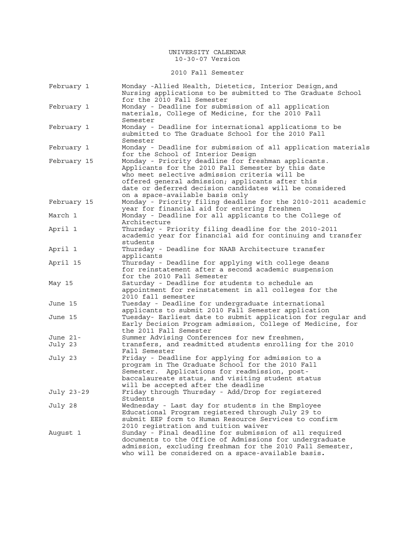2010 Fall Semester

| February 1  | Monday -Allied Health, Dietetics, Interior Design, and<br>Nursing applications to be submitted to The Graduate School<br>for the 2010 Fall Semester                                                                                                                                                          |
|-------------|--------------------------------------------------------------------------------------------------------------------------------------------------------------------------------------------------------------------------------------------------------------------------------------------------------------|
| February 1  | Monday - Deadline for submission of all application<br>materials, College of Medicine, for the 2010 Fall<br>Semester                                                                                                                                                                                         |
| February 1  | Monday - Deadline for international applications to be<br>submitted to The Graduate School for the 2010 Fall<br>Semester                                                                                                                                                                                     |
| February 1  | Monday - Deadline for submission of all application materials<br>for the School of Interior Design                                                                                                                                                                                                           |
| February 15 | Monday - Priority deadline for freshman applicants.<br>Applicants for the 2010 Fall Semester by this date<br>who meet selective admission criteria will be<br>offered general admission; applicants after this<br>date or deferred decision candidates will be considered<br>on a space-available basis only |
| February 15 | Monday - Priority filing deadline for the 2010-2011 academic<br>year for financial aid for entering freshmen                                                                                                                                                                                                 |
| March 1     | Monday - Deadline for all applicants to the College of<br>Architecture                                                                                                                                                                                                                                       |
| April 1     | Thursday - Priority filing deadline for the 2010-2011<br>academic year for financial aid for continuing and transfer<br>students                                                                                                                                                                             |
| April 1     | Thursday - Deadline for NAAB Architecture transfer<br>applicants                                                                                                                                                                                                                                             |
| April 15    | Thursday - Deadline for applying with college deans<br>for reinstatement after a second academic suspension<br>for the 2010 Fall Semester                                                                                                                                                                    |
| May 15      | Saturday - Deadline for students to schedule an<br>appointment for reinstatement in all colleges for the<br>2010 fall semester                                                                                                                                                                               |
| June 15     | Tuesday - Deadline for undergraduate international<br>applicants to submit 2010 Fall Semester application                                                                                                                                                                                                    |
| June 15     | Tuesday- Earliest date to submit application for regular and<br>Early Decision Program admission, College of Medicine, for<br>the 2011 Fall Semester                                                                                                                                                         |
| June 21-    | Summer Advising Conferences for new freshmen,                                                                                                                                                                                                                                                                |
| July 23     | transfers, and readmitted students enrolling for the 2010<br>Fall Semester                                                                                                                                                                                                                                   |
| July 23     | Friday - Deadline for applying for admission to a<br>program in The Graduate School for the 2010 Fall<br>Applications for readmission, post-<br>Semester.<br>baccalaureate status, and visiting student status<br>will be accepted after the deadline                                                        |
| July 23-29  | Friday through Thursday - Add/Drop for registered<br>Students                                                                                                                                                                                                                                                |
| July 28     | Wednesday - Last day for students in the Employee<br>Educational Program registered through July 29 to<br>submit EEP form to Human Resource Services to confirm<br>2010 registration and tuition waiver                                                                                                      |
| August 1    | Sunday - Final deadline for submission of all required<br>documents to the Office of Admissions for undergraduate<br>admission, excluding freshman for the 2010 Fall Semester,<br>who will be considered on a space-available basis.                                                                         |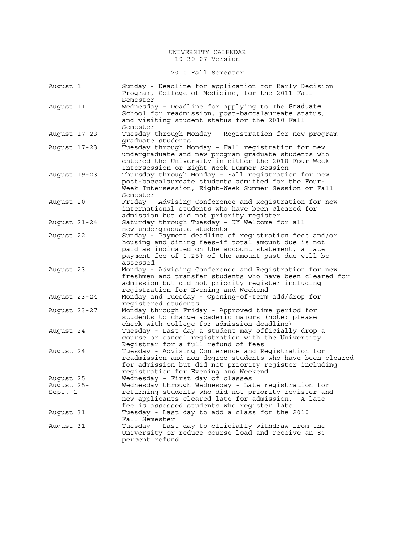## 2010 Fall Semester

| August 1                           | Sunday - Deadline for application for Early Decision<br>Program, College of Medicine, for the 2011 Fall<br>Semester                                                                                                                                   |
|------------------------------------|-------------------------------------------------------------------------------------------------------------------------------------------------------------------------------------------------------------------------------------------------------|
| August 11                          | Wednesday - Deadline for applying to The Graduate<br>School for readmission, post-baccalaureate status,<br>and visiting student status for the 2010 Fall<br>Semester                                                                                  |
| August 17-23                       | Tuesday through Monday - Registration for new program<br>graduate students                                                                                                                                                                            |
| August 17-23                       | Tuesday through Monday - Fall registration for new<br>undergraduate and new program graduate students who<br>entered the University in either the 2010 Four-Week<br>Intersession or Eight-Week Summer Session                                         |
| August 19-23                       | Thursday through Monday - Fall registration for new<br>post-baccalaureate students admitted for the Four-<br>Week Intersession, Eight-Week Summer Session or Fall<br>Semester                                                                         |
| August 20                          | Friday - Advising Conference and Registration for new<br>international students who have been cleared for<br>admission but did not priority register                                                                                                  |
| August 21-24                       | Saturday through Tuesday - KY Welcome for all<br>new undergraduate students                                                                                                                                                                           |
| August 22                          | Sunday - Payment deadline of registration fees and/or<br>housing and dining fees-if total amount due is not<br>paid as indicated on the account statement, a late<br>payment fee of 1.25% of the amount past due will be<br>assessed                  |
| August 23                          | Monday - Advising Conference and Registration for new<br>freshmen and transfer students who have been cleared for<br>admission but did not priority register including<br>registration for Evening and Weekend                                        |
| August 23-24                       | Monday and Tuesday - Opening-of-term add/drop for<br>reqistered students                                                                                                                                                                              |
| August 23-27                       | Monday through Friday - Approved time period for<br>students to change academic majors (note: please<br>check with college for admission deadline)                                                                                                    |
| August 24                          | Tuesday - Last day a student may officially drop a<br>course or cancel registration with the University<br>Registrar for a full refund of fees                                                                                                        |
| August 24                          | Tuesday - Advising Conference and Registration for<br>readmission and non-degree students who have been cleared<br>for admission but did not priority register including<br>registration for Evening and Weekend                                      |
| August 25<br>August 25-<br>Sept. 1 | Wednesday - First day of classes<br>Wednesday through Wednesday - Late registration for<br>returning students who did not priority register and<br>new applicants cleared late for admission.<br>A late<br>fee is assessed students who register late |
| August 31                          | Tuesday - Last day to add a class for the 2010<br>Fall Semester                                                                                                                                                                                       |
| August 31                          | Tuesday - Last day to officially withdraw from the<br>University or reduce course load and receive an 80<br>percent refund                                                                                                                            |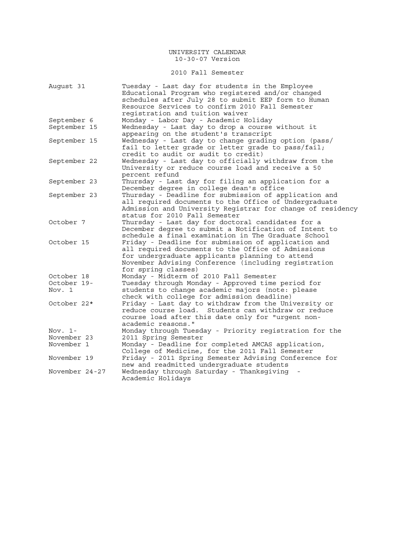## 2010 Fall Semester

| August 31      | Tuesday - Last day for students in the Employee<br>Educational Program who registered and/or changed<br>schedules after July 28 to submit EEP form to Human<br>Resource Services to confirm 2010 Fall Semester |
|----------------|----------------------------------------------------------------------------------------------------------------------------------------------------------------------------------------------------------------|
|                | registration and tuition waiver                                                                                                                                                                                |
| September 6    | Monday - Labor Day - Academic Holiday                                                                                                                                                                          |
| September 15   | Wednesday - Last day to drop a course without it<br>appearing on the student's transcript                                                                                                                      |
| September 15   | Wednesday - Last day to change grading option (pass/                                                                                                                                                           |
|                | fail to letter grade or letter grade to pass/fail;<br>credit to audit or audit to credit)                                                                                                                      |
| September 22   | Wednesday - Last day to officially withdraw from the                                                                                                                                                           |
|                | University or reduce course load and receive a 50<br>percent refund                                                                                                                                            |
| September 23   | Thursday - Last day for filing an application for a                                                                                                                                                            |
|                | December degree in college dean's office                                                                                                                                                                       |
| September 23   | Thursday - Deadline for submission of application and                                                                                                                                                          |
|                | all required documents to the Office of Undergraduate<br>Admission and University Registrar for change of residency<br>status for 2010 Fall Semester                                                           |
| October 7      | Thursday - Last day for doctoral candidates for a                                                                                                                                                              |
|                | December degree to submit a Notification of Intent to<br>schedule a final examination in The Graduate School                                                                                                   |
| October 15     |                                                                                                                                                                                                                |
|                | Friday - Deadline for submission of application and                                                                                                                                                            |
|                | all required documents to the Office of Admissions                                                                                                                                                             |
|                | for undergraduate applicants planning to attend                                                                                                                                                                |
|                | November Advising Conference (including registration<br>for spring classes)                                                                                                                                    |
| October 18     | Monday - Midterm of 2010 Fall Semester                                                                                                                                                                         |
| October 19-    | Tuesday through Monday - Approved time period for                                                                                                                                                              |
| Nov. 1         | students to change academic majors (note: please                                                                                                                                                               |
|                | check with college for admission deadline)                                                                                                                                                                     |
| October 22*    | Friday - Last day to withdraw from the University or                                                                                                                                                           |
|                | reduce course load. Students can withdraw or reduce                                                                                                                                                            |
|                | course load after this date only for "urgent non-                                                                                                                                                              |
|                | academic reasons."                                                                                                                                                                                             |
|                |                                                                                                                                                                                                                |
| Nov. $1-$      | Monday through Tuesday - Priority registration for the                                                                                                                                                         |
| November 23    | 2011 Spring Semester                                                                                                                                                                                           |
| November 1     | Monday - Deadline for completed AMCAS application,                                                                                                                                                             |
|                | College of Medicine, for the 2011 Fall Semester                                                                                                                                                                |
| November 19    | Friday - 2011 Spring Semester Advising Conference for                                                                                                                                                          |
|                | new and readmitted undergraduate students                                                                                                                                                                      |
| November 24-27 | Wednesday through Saturday - Thanksgiving                                                                                                                                                                      |
|                | Academic Holidays                                                                                                                                                                                              |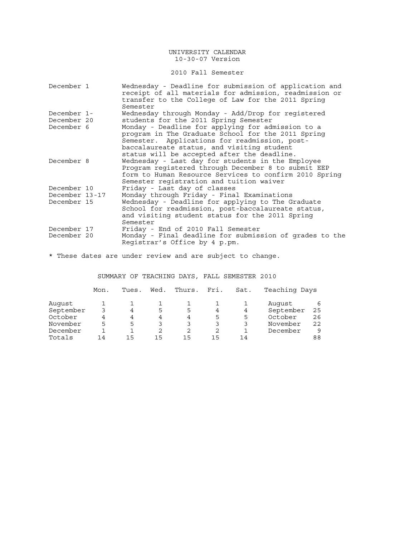## 2010 Fall Semester

| December 1                 | Wednesday - Deadline for submission of application and<br>receipt of all materials for admission, readmission or<br>transfer to the College of Law for the 2011 Spring<br>Semester                                                                    |
|----------------------------|-------------------------------------------------------------------------------------------------------------------------------------------------------------------------------------------------------------------------------------------------------|
| December 1-                | Wednesday through Monday - Add/Drop for registered                                                                                                                                                                                                    |
| December 20                | students for the 2011 Spring Semester                                                                                                                                                                                                                 |
| December 6                 | Monday - Deadline for applying for admission to a<br>program in The Graduate School for the 2011 Spring<br>Semester. Applications for readmission, post-<br>baccalaureate status, and visiting student<br>status will be accepted after the deadline. |
| December 8                 | Wednesday - Last day for students in the Employee<br>Program registered through December 8 to submit EEP<br>form to Human Resource Services to confirm 2010 Spring<br>Semester registration and tuition waiver                                        |
| December 10                | Friday - Last day of classes                                                                                                                                                                                                                          |
| December 13-17             | Monday through Friday - Final Examinations                                                                                                                                                                                                            |
| December 15                | Wednesday - Deadline for applying to The Graduate<br>School for readmission, post-baccalaureate status,<br>and visiting student status for the 2011 Spring<br>Semester                                                                                |
| December 17<br>December 20 | Friday - End of 2010 Fall Semester<br>Monday - Final deadline for submission of grades to the<br>Registrar's Office by 4 p.pm.                                                                                                                        |
|                            |                                                                                                                                                                                                                                                       |

\* These dates are under review and are subject to change.

## SUMMARY OF TEACHING DAYS, FALL SEMESTER 2010

|           | Mon. | Tues. | Wed. | Thurs. | Fri. | Sat. | Teaching Days |    |
|-----------|------|-------|------|--------|------|------|---------------|----|
| August    |      |       |      |        |      |      | August        |    |
| September |      | 4     | 5    | 5      | 4    | 4    | September     | 25 |
| October   | 4    | 4     | 4    | 4      | 5    | 5    | October       | 26 |
| November  | 5    | 5     | 3    | 3      | 3    |      | November      | 22 |
| December  |      |       | 2    | 2      |      |      | December      | q  |
| Totals    | 14   | 15    | 15   | 15     | 1 5  | 14   |               | 88 |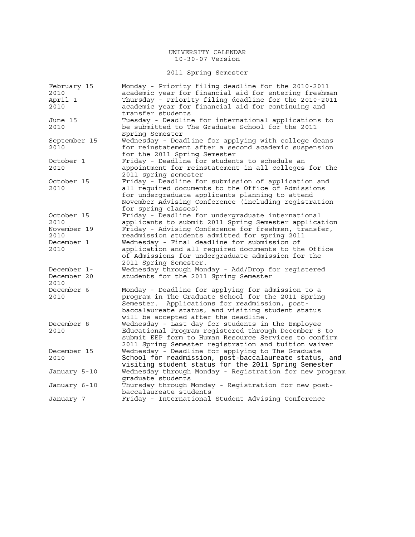# 2011 Spring Semester

| February 15  | Monday - Priority filing deadline for the 2010-2011                         |
|--------------|-----------------------------------------------------------------------------|
| 2010         | academic year for financial aid for entering freshman                       |
| April 1      | Thursday - Priority filing deadline for the 2010-2011                       |
| 2010         | academic year for financial aid for continuing and                          |
|              | transfer students                                                           |
| June 15      | Tuesday - Deadline for international applications to                        |
| 2010         | be submitted to The Graduate School for the 2011                            |
|              | Spring Semester                                                             |
| September 15 | Wednesday - Deadline for applying with college deans                        |
| 2010         | for reinstatement after a second academic suspension                        |
|              | for the 2011 Spring Semester                                                |
| October 1    | Friday - Deadline for students to schedule an                               |
| 2010         | appointment for reinstatement in all colleges for the                       |
|              |                                                                             |
| October 15   | 2011 spring semester<br>Friday - Deadline for submission of application and |
| 2010         | all required documents to the Office of Admissions                          |
|              |                                                                             |
|              | for undergraduate applicants planning to attend                             |
|              | November Advising Conference (including registration                        |
|              | for spring classes)                                                         |
| October 15   | Friday - Deadline for undergraduate international                           |
| 2010         | applicants to submit 2011 Spring Semester application                       |
| November 19  | Friday - Advising Conference for freshmen, transfer,                        |
| 2010         | readmission students admitted for spring 2011                               |
| December 1   | Wednesday - Final deadline for submission of                                |
| 2010         | application and all required documents to the Office                        |
|              | of Admissions for undergraduate admission for the                           |
|              | 2011 Spring Semester.                                                       |
| December 1-  | Wednesday through Monday - Add/Drop for registered                          |
| December 20  | students for the 2011 Spring Semester                                       |
| 2010         |                                                                             |
| December 6   | Monday - Deadline for applying for admission to a                           |
| 2010         | program in The Graduate School for the 2011 Spring                          |
|              | Applications for readmission, post-<br>Semester.                            |
|              | baccalaureate status, and visiting student status                           |
|              | will be accepted after the deadline.                                        |
| December 8   | Wednesday - Last day for students in the Employee                           |
| 2010         | Educational Program registered through December 8 to                        |
|              | submit EEP form to Human Resource Services to confirm                       |
|              | 2011 Spring Semester registration and tuition waiver                        |
| December 15  | Wednesday - Deadline for applying to The Graduate                           |
| 2010         | School for readmission, post-baccalaureate status, and                      |
|              | visiting student status for the 2011 Spring Semester                        |
| January 5-10 | Wednesday through Monday - Registration for new program                     |
|              | graduate students                                                           |
| January 6-10 | Thursday through Monday - Registration for new post-                        |
|              | baccalaureate students                                                      |
| January 7    | Friday - International Student Advising Conference                          |
|              |                                                                             |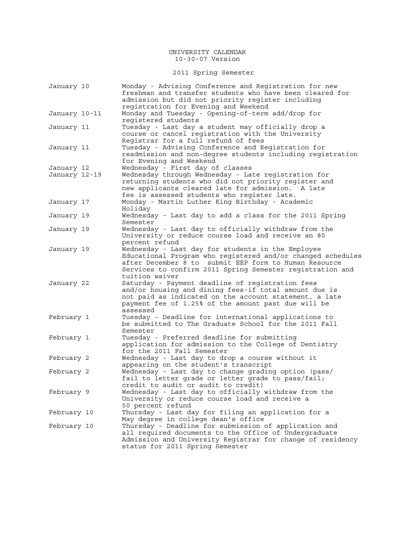2011 Spring Semester

| January 10    | Monday - Advising Conference and Registration for new<br>freshman and transfer students who have been cleared for<br>admission but did not priority register including<br>registration for Evening and Weekend                                           |
|---------------|----------------------------------------------------------------------------------------------------------------------------------------------------------------------------------------------------------------------------------------------------------|
| January 10-11 | Monday and Tuesday - Opening-of-term add/drop for<br>reqistered students                                                                                                                                                                                 |
| January 11    | Tuesday - Last day a student may officially drop a<br>course or cancel registration with the University<br>Registrar for a full refund of fees                                                                                                           |
| January 11    | Tuesday - Advising Conference and Registration for<br>readmission and non-degree students including registration<br>for Evening and Weekend                                                                                                              |
| January 12    | Wednesday - First day of classes                                                                                                                                                                                                                         |
| January 12-19 | Wednesday through Wednesday - Late registration for<br>returning students who did not priority register and<br>new applicants cleared late for admission. A late<br>fee is assessed students who register late.                                          |
| January 17    | Monday - Martin Luther King Birthday - Academic<br>Holiday                                                                                                                                                                                               |
| January 19    | Wednesday - Last day to add a class for the 2011 Spring<br>Semester                                                                                                                                                                                      |
| January 19    | Wednesday - Last day to officially withdraw from the<br>University or reduce course load and receive an 80<br>percent refund                                                                                                                             |
| January 19    | Wednesday - Last day for students in the Employee<br>Educational Program who registered and/or changed schedules<br>after December 8 to submit EEP form to Human Resource<br>Services to confirm 2011 Spring Semester registration and<br>tuition waiver |
| January 22    | Saturday - Payment deadline of registration fees<br>and/or housing and dining fees-if total amount due is<br>not paid as indicated on the account statement, a late<br>payment fee of 1.25% of the amount past due will be<br>assessed                   |
| February 1    | Tuesday - Deadline for international applications to<br>be submitted to The Graduate School for the 2011 Fall<br>Semester                                                                                                                                |
| February 1    | Tuesday - Preferred deadline for submitting<br>application for admission to the College of Dentistry<br>for the 2011 Fall Semester                                                                                                                       |
| February 2    | Wednesday - Last day to drop a course without it<br>appearing on the student's transcript                                                                                                                                                                |
| February 2    | Wednesday - Last day to change grading option (pass/<br>fail to letter grade or letter grade to pass/fail;<br>credit to audit or audit to credit)                                                                                                        |
| February 9    | Wednesday - Last day to officially withdraw from the<br>University or reduce course load and receive a<br>50 percent refund                                                                                                                              |
| February 10   | Thursday - Last day for filing an application for a<br>May degree in college dean's office                                                                                                                                                               |
| February 10   | Thursday - Deadline for submission of application and<br>all required documents to the Office of Undergraduate<br>Admission and University Registrar for change of residency<br>status for 2011 Spring Semester                                          |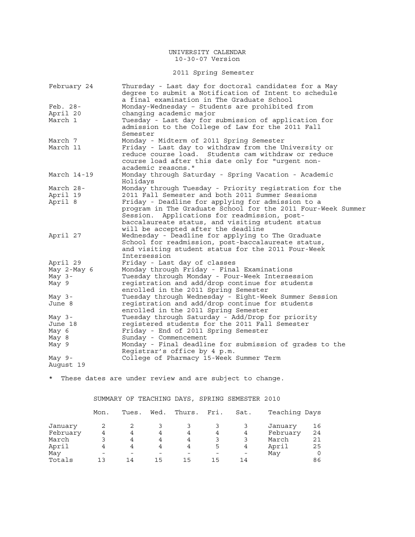## 2011 Spring Semester

| February 24           | Thursday - Last day for doctoral candidates for a May<br>degree to submit a Notification of Intent to schedule<br>a final examination in The Graduate School                                                           |
|-----------------------|------------------------------------------------------------------------------------------------------------------------------------------------------------------------------------------------------------------------|
| Feb. 28-              | Monday-Wednesday - Students are prohibited from                                                                                                                                                                        |
| April 20              | changing academic major                                                                                                                                                                                                |
| March 1               | Tuesday - Last day for submission of application for<br>admission to the College of Law for the 2011 Fall<br>Semester                                                                                                  |
| March 7               | Monday - Midterm of 2011 Spring Semester                                                                                                                                                                               |
| March 11              | Friday - Last day to withdraw from the University or<br>reduce course load. Students cam withdraw or reduce<br>course load after this date only for "urgent non-<br>academic reasons."                                 |
| March $14-19$         | Monday through Saturday - Spring Vacation - Academic<br>Holidays                                                                                                                                                       |
| March 28-             | Monday through Tuesday - Priority registration for the                                                                                                                                                                 |
| April 19              | 2011 Fall Semester and both 2011 Summer Sessions                                                                                                                                                                       |
| April 8               | Friday - Deadline for applying for admission to a<br>program in The Graduate School for the 2011 Four-Week Summer<br>Session. Applications for readmission, post-<br>baccalaureate status, and visiting student status |
| April 27              | will be accepted after the deadline<br>Wednesday - Deadline for applying to The Graduate                                                                                                                               |
|                       | School for readmission, post-baccalaureate status,<br>and visiting student status for the 2011 Four-Week<br>Intersession                                                                                               |
| April 29              | Friday - Last day of classes                                                                                                                                                                                           |
| May 2-May 6           | Monday through Friday - Final Examinations                                                                                                                                                                             |
| May $3-$              | Tuesday through Monday - Four-Week Intersession                                                                                                                                                                        |
| May 9                 | registration and add/drop continue for students                                                                                                                                                                        |
|                       | enrolled in the 2011 Spring Semester                                                                                                                                                                                   |
| May $3-$              | Tuesday through Wednesday - Eight-Week Summer Session                                                                                                                                                                  |
| June 8                | registration and add/drop continue for students<br>enrolled in the 2011 Spring Semester                                                                                                                                |
| May $3-$              | Tuesday through Saturday - Add/Drop for priority                                                                                                                                                                       |
| June 18               | registered students for the 2011 Fall Semester                                                                                                                                                                         |
| May 6                 | Friday - End of 2011 Spring Semester                                                                                                                                                                                   |
| May 8                 | Sunday - Commencement                                                                                                                                                                                                  |
| May 9                 | Monday - Final deadline for submission of grades to the                                                                                                                                                                |
|                       | Registrar's office by 4 p.m.                                                                                                                                                                                           |
| May $9-$<br>August 19 | College of Pharmacy 15-Week Summer Term                                                                                                                                                                                |

\* These dates are under review and are subject to change.

SUMMARY OF TEACHING DAYS, SPRING SEMESTER 2010

|          | Mon. | Tues. | Wed. | Thurs. | Fri. | Sat. | Teaching Days |    |
|----------|------|-------|------|--------|------|------|---------------|----|
| January  |      |       |      |        |      |      | January       | 16 |
| February | 4    | 4     | 4    | 4      | 4    | 4    | February      | 24 |
| March    |      | 4     | 4    | 4      |      | 3    | March         | 21 |
| April    | 4    | 4     | 4    | 4      | 5    | 4    | April         | 25 |
| May      |      |       |      |        |      |      | May           |    |
| Totals   | 1 ว  | 14    | 15   | 15     | 15   | 14   |               | 86 |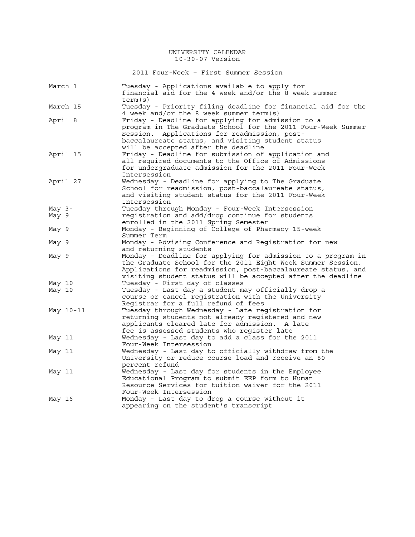2011 Four-Week – First Summer Session

| March 1   | Tuesday - Applications available to apply for<br>financial aid for the 4 week and/or the 8 week summer<br>term(s)                                                                                                                                                |
|-----------|------------------------------------------------------------------------------------------------------------------------------------------------------------------------------------------------------------------------------------------------------------------|
| March 15  | Tuesday - Priority filing deadline for financial aid for the<br>4 week and/or the 8 week summer term(s)                                                                                                                                                          |
| April 8   | Friday - Deadline for applying for admission to a<br>program in The Graduate School for the 2011 Four-Week Summer<br>Applications for readmission, post-<br>Session.<br>baccalaureate status, and visiting student status<br>will be accepted after the deadline |
| April 15  | Friday - Deadline for submission of application and<br>all required documents to the Office of Admissions<br>for undergraduate admission for the 2011 Four-Week<br>Intersession                                                                                  |
| April 27  | Wednesday - Deadline for applying to The Graduate<br>School for readmission, post-baccalaureate status,<br>and visiting student status for the 2011 Four-Week<br>Intersession                                                                                    |
| May $3-$  | Tuesday through Monday - Four-Week Intersession                                                                                                                                                                                                                  |
| May 9     | registration and add/drop continue for students<br>enrolled in the 2011 Spring Semester                                                                                                                                                                          |
| May 9     | Monday - Beginning of College of Pharmacy 15-week<br>Summer Term                                                                                                                                                                                                 |
| May 9     | Monday - Advising Conference and Registration for new<br>and returning students                                                                                                                                                                                  |
| May 9     | Monday - Deadline for applying for admission to a program in<br>the Graduate School for the 2011 Eight Week Summer Session.<br>Applications for readmission, post-baccalaureate status, and<br>visiting student status will be accepted after the deadline       |
| May 10    | Tuesday - First day of classes                                                                                                                                                                                                                                   |
| May 10    | Tuesday - Last day a student may officially drop a<br>course or cancel registration with the University<br>Registrar for a full refund of fees                                                                                                                   |
| May 10-11 | Tuesday through Wednesday - Late registration for<br>returning students not already registered and new<br>applicants cleared late for admission.<br>A late<br>fee is assessed students who register late                                                         |
| May 11    | Wednesday - Last day to add a class for the 2011<br>Four-Week Intersession                                                                                                                                                                                       |
| May 11    | Wednesday - Last day to officially withdraw from the<br>University or reduce course load and receive an 80<br>percent refund                                                                                                                                     |
| May 11    | Wednesday - Last day for students in the Employee<br>Educational Program to submit EEP form to Human<br>Resource Services for tuition waiver for the 2011<br>Four-Week Intersession                                                                              |
| May 16    | Monday - Last day to drop a course without it<br>appearing on the student's transcript                                                                                                                                                                           |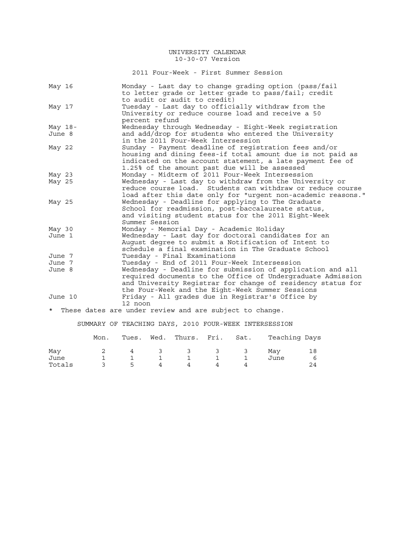2011 Four-Week - First Summer Session

| May 16    | Monday - Last day to change grading option (pass/fail<br>to letter grade or letter grade to pass/fail; credit                                                                                                                                |
|-----------|----------------------------------------------------------------------------------------------------------------------------------------------------------------------------------------------------------------------------------------------|
| May 17    | to audit or audit to credit)<br>Tuesday - Last day to officially withdraw from the<br>University or reduce course load and receive a 50<br>percent refund                                                                                    |
| May $18-$ | Wednesday through Wednesday - Eight-Week registration                                                                                                                                                                                        |
| June 8    | and add/drop for students who entered the University<br>in the 2011 Four-Week Intersession                                                                                                                                                   |
| May 22    | Sunday - Payment deadline of registration fees and/or<br>housing and dining fees-if total amount due is not paid as<br>indicated on the account statement, a late payment fee of<br>1.25% of the amount past due will be assessed            |
| May 23    | Monday - Midterm of 2011 Four-Week Intersession                                                                                                                                                                                              |
| May 25    | Wednesday - Last day to withdraw from the University or<br>reduce course load. Students can withdraw or reduce course<br>load after this date only for "urgent non-academic reasons."                                                        |
| May 25    | Wednesday - Deadline for applying to The Graduate<br>School for readmission, post-baccalaureate status,<br>and visiting student status for the 2011 Eight-Week<br>Summer Session                                                             |
| May 30    | Monday - Memorial Day - Academic Holiday                                                                                                                                                                                                     |
| June 1    | Wednesday - Last day for doctoral candidates for an<br>August degree to submit a Notification of Intent to<br>schedule a final examination in The Graduate School                                                                            |
| June 7    | Tuesday - Final Examinations                                                                                                                                                                                                                 |
| June 7    | Tuesday - End of 2011 Four-Week Intersession                                                                                                                                                                                                 |
| June 8    | Wednesday - Deadline for submission of application and all<br>required documents to the Office of Undergraduate Admission<br>and University Registrar for change of residency status for<br>the Four-Week and the Eight-Week Summer Sessions |
| June 10   | Friday - All grades due in Registrar's Office by<br>12 noon                                                                                                                                                                                  |
|           | * These dates are under review and are subject to change.                                                                                                                                                                                    |

SUMMARY OF TEACHING DAYS, 2010 FOUR-WEEK INTERSESSION

|        | Mon. | Tues. | Wed. Thurs. Fri. Sat. |  | Teaching Days |    |
|--------|------|-------|-----------------------|--|---------------|----|
| May    |      | 4     | 3 3 3 3               |  | Mav           | 18 |
| June   |      |       |                       |  | June          |    |
| Totals |      | 5.    |                       |  |               |    |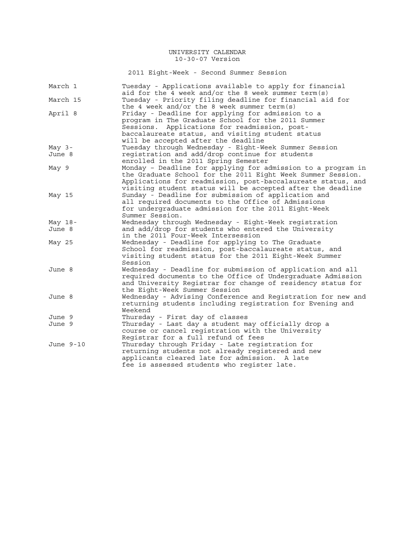2011 Eight-Week - Second Summer Session

| March 1   | Tuesday - Applications available to apply for financial<br>aid for the 4 week and/or the 8 week summer term(s) |
|-----------|----------------------------------------------------------------------------------------------------------------|
| March 15  | Tuesday - Priority filing deadline for financial aid for                                                       |
|           | the 4 week and/or the 8 week summer term(s)                                                                    |
| April 8   | Friday - Deadline for applying for admission to a                                                              |
|           | program in The Graduate School for the 2011 Summer                                                             |
|           | Applications for readmission, post-<br>Sessions.                                                               |
|           | baccalaureate status, and visiting student status                                                              |
|           | will be accepted after the deadline                                                                            |
| May $3-$  | Tuesday through Wednesday - Eight-Week Summer Session                                                          |
| June 8    | registration and add/drop continue for students                                                                |
|           | enrolled in the 2011 Spring Semester                                                                           |
| May 9     | Monday - Deadline for applying for admission to a program in                                                   |
|           | the Graduate School for the 2011 Eight Week Summer Session.                                                    |
|           | Applications for readmission, post-baccalaureate status, and                                                   |
|           | visiting student status will be accepted after the deadline                                                    |
| May 15    | Sunday - Deadline for submission of application and                                                            |
|           | all required documents to the Office of Admissions                                                             |
|           | for undergraduate admission for the 2011 Eight-Week                                                            |
|           | Summer Session.                                                                                                |
|           | Wednesday through Wednesday - Eight-Week registration                                                          |
| May $18-$ |                                                                                                                |
| June 8    | and add/drop for students who entered the University                                                           |
|           | in the 2011 Four-Week Intersession                                                                             |
| May 25    | Wednesday - Deadline for applying to The Graduate                                                              |
|           | School for readmission, post-baccalaureate status, and                                                         |
|           | visiting student status for the 2011 Eight-Week Summer                                                         |
|           | Session                                                                                                        |
| June 8    | Wednesday - Deadline for submission of application and all                                                     |
|           | required documents to the Office of Undergraduate Admission                                                    |
|           | and University Registrar for change of residency status for                                                    |
|           | the Eight-Week Summer Session                                                                                  |
| June 8    | Wednesday - Advising Conference and Registration for new and                                                   |
|           | returning students including registration for Evening and                                                      |
|           | Weekend                                                                                                        |
| June 9    | Thursday - First day of classes                                                                                |
| June 9    | Thursday - Last day a student may officially drop a                                                            |
|           | course or cancel registration with the University                                                              |
|           | Registrar for a full refund of fees                                                                            |
| June 9-10 | Thursday through Friday - Late registration for                                                                |
|           | returning students not already registered and new                                                              |
|           | applicants cleared late for admission. A late                                                                  |
|           | fee is assessed students who register late.                                                                    |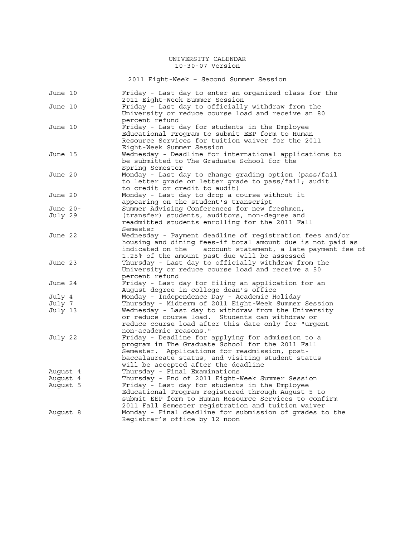2011 Eight-Week – Second Summer Session

| June 10  | Friday - Last day to enter an organized class for the<br>2011 Eight-Week Summer Session               |
|----------|-------------------------------------------------------------------------------------------------------|
| June 10  | Friday - Last day to officially withdraw from the                                                     |
|          | University or reduce course load and receive an 80                                                    |
|          | percent refund                                                                                        |
| June 10  | Friday - Last day for students in the Employee                                                        |
|          | Educational Program to submit EEP form to Human                                                       |
|          | Resource Services for tuition waiver for the 2011                                                     |
|          | Eight-Week Summer Session                                                                             |
| June 15  | Wednesday - Deadline for international applications to                                                |
|          | be submitted to The Graduate School for the                                                           |
|          | Spring Semester                                                                                       |
| June 20  | Monday - Last day to change grading option (pass/fail                                                 |
|          | to letter grade or letter grade to pass/fail; audit                                                   |
|          | to credit or credit to audit)                                                                         |
| June 20  | Monday - Last day to drop a course without it                                                         |
|          | appearing on the student's transcript                                                                 |
| June 20- | Summer Advising Conferences for new freshmen,                                                         |
| July 29  | (transfer) students, auditors, non-degree and                                                         |
|          | readmitted students enrolling for the 2011 Fall                                                       |
|          | Semester                                                                                              |
| June 22  | Wednesday - Payment deadline of registration fees and/or                                              |
|          | housing and dining fees-if total amount due is not paid as                                            |
|          | account statement, a late payment fee of<br>indicated on the                                          |
|          | 1.25% of the amount past due will be assessed                                                         |
| June 23  | Thursday - Last day to officially withdraw from the                                                   |
|          | University or reduce course load and receive a 50                                                     |
|          | percent refund                                                                                        |
| June 24  | Friday - Last day for filing an application for an                                                    |
|          | August degree in college dean's office                                                                |
| July 4   | Monday - Independence Day - Academic Holiday                                                          |
| July 7   | Thursday - Midterm of 2011 Eight-Week Summer Session                                                  |
| July 13  | Wednesday - Last day to withdraw from the University                                                  |
|          | or reduce course load. Students can withdraw or                                                       |
|          | reduce course load after this date only for "urgent                                                   |
|          | non-academic reasons."                                                                                |
| July 22  | Friday - Deadline for applying for admission to a<br>program in The Graduate School for the 2011 Fall |
|          | Applications for readmission, post-<br>Semester.                                                      |
|          | baccalaureate status, and visiting student status                                                     |
|          | will be accepted after the deadline                                                                   |
| August 4 | Thursday - Final Examinations                                                                         |
| Auqust 4 | Thursday - End of 2011 Eight-Week Summer Session                                                      |
| August 5 | Friday - Last day for students in the Employee                                                        |
|          | Educational Program registered through August 5 to                                                    |
|          | submit EEP form to Human Resource Services to confirm                                                 |
|          | 2011 Fall Semester registration and tuition waiver                                                    |
| Auqust 8 | Monday - Final deadline for submission of grades to the                                               |
|          | Registrar's office by 12 noon                                                                         |
|          |                                                                                                       |